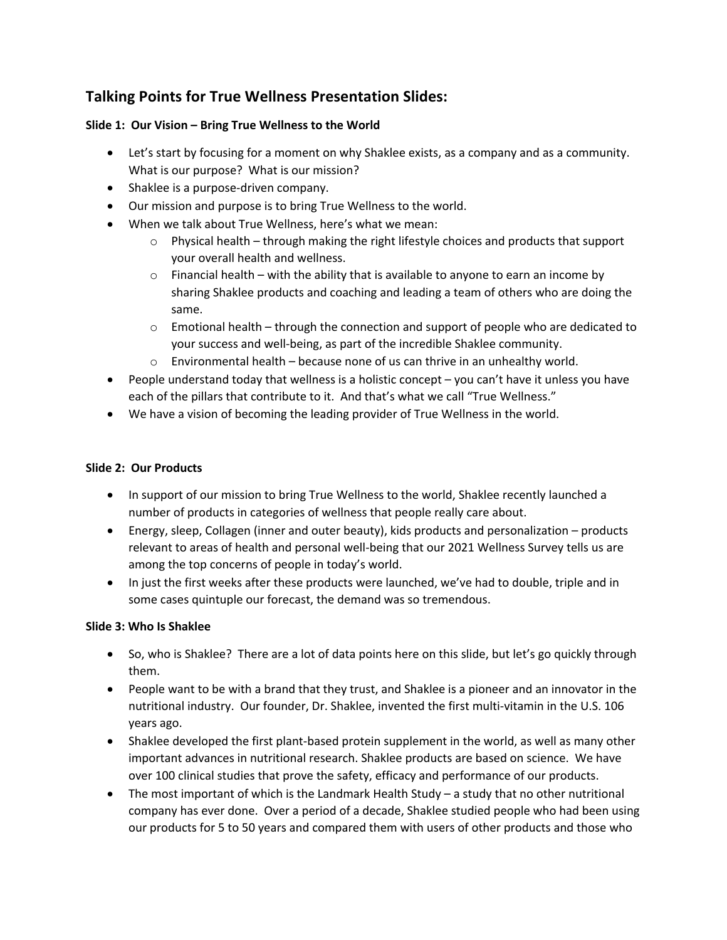## **Talking Points for True Wellness Presentation Slides:**

## **Slide 1: Our Vision – Bring True Wellness to the World**

- Let's start by focusing for a moment on why Shaklee exists, as a company and as a community. What is our purpose? What is our mission?
- Shaklee is a purpose-driven company.
- Our mission and purpose is to bring True Wellness to the world.
- When we talk about True Wellness, here's what we mean:
	- o Physical health through making the right lifestyle choices and products that support your overall health and wellness.
	- $\circ$  Financial health with the ability that is available to anyone to earn an income by sharing Shaklee products and coaching and leading a team of others who are doing the same.
	- $\circ$  Emotional health through the connection and support of people who are dedicated to your success and well-being, as part of the incredible Shaklee community.
	- $\circ$  Environmental health because none of us can thrive in an unhealthy world.
- People understand today that wellness is a holistic concept you can't have it unless you have each of the pillars that contribute to it. And that's what we call "True Wellness."
- We have a vision of becoming the leading provider of True Wellness in the world.

## **Slide 2: Our Products**

- In support of our mission to bring True Wellness to the world, Shaklee recently launched a number of products in categories of wellness that people really care about.
- Energy, sleep, Collagen (inner and outer beauty), kids products and personalization products relevant to areas of health and personal well-being that our 2021 Wellness Survey tells us are among the top concerns of people in today's world.
- In just the first weeks after these products were launched, we've had to double, triple and in some cases quintuple our forecast, the demand was so tremendous.

## **Slide 3: Who Is Shaklee**

- So, who is Shaklee? There are a lot of data points here on this slide, but let's go quickly through them.
- People want to be with a brand that they trust, and Shaklee is a pioneer and an innovator in the nutritional industry. Our founder, Dr. Shaklee, invented the first multi-vitamin in the U.S. 106 years ago.
- Shaklee developed the first plant-based protein supplement in the world, as well as many other important advances in nutritional research. Shaklee products are based on science. We have over 100 clinical studies that prove the safety, efficacy and performance of our products.
- The most important of which is the Landmark Health Study a study that no other nutritional company has ever done. Over a period of a decade, Shaklee studied people who had been using our products for 5 to 50 years and compared them with users of other products and those who